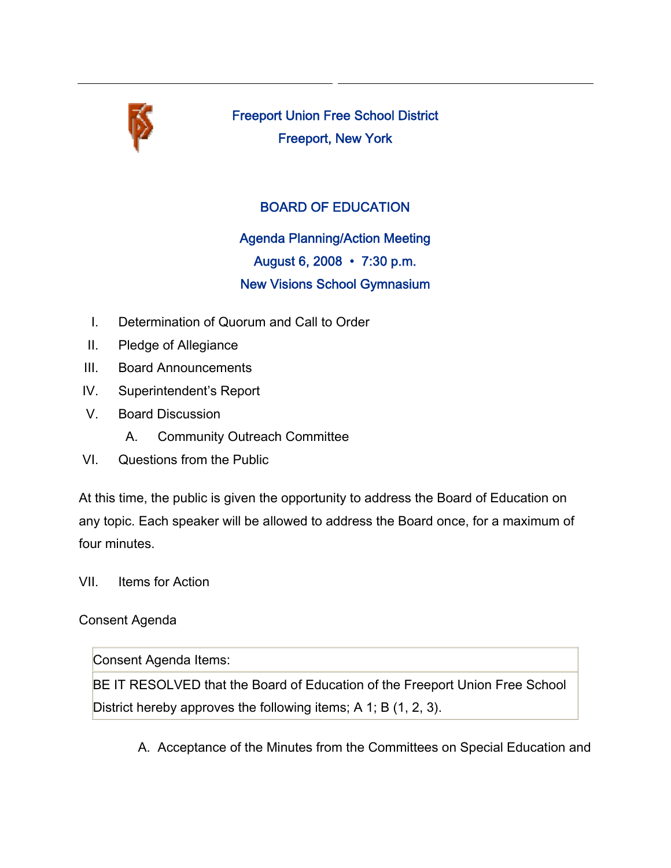

Freeport Union Free School District Freeport, New York

## BOARD OF EDUCATION

Agenda Planning/Action Meeting August 6, 2008 • 7:30 p.m. New Visions School Gymnasium

- I. Determination of Quorum and Call to Order
- II. Pledge of Allegiance
- III. Board Announcements
- IV. Superintendent's Report
- V. Board Discussion
	- A. Community Outreach Committee
- VI. Questions from the Public

At this time, the public is given the opportunity to address the Board of Education on any topic. Each speaker will be allowed to address the Board once, for a maximum of four minutes.

VII. Items for Action

## Consent Agenda

Consent Agenda Items:

BE IT RESOLVED that the Board of Education of the Freeport Union Free School District hereby approves the following items; A 1; B (1, 2, 3).

A. Acceptance of the Minutes from the Committees on Special Education and